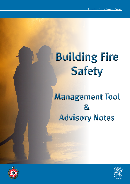# **Building Fire Safety**

# **Management Tool & Advisory Notes**



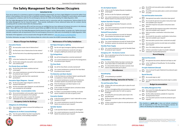## **Fire Safety Management Tool for Owner/Occupiers**

#### **Instructions For Use**

If you are an owner of, or a business or person occupying a building in Queensland, you have a legal obligation to ensure the safety of any person in that building in the event of a fire or hazardous material emergency. This document is designed to assist owners and occupiers in managing their compliance with the *Fire and Emergency Services Act 1990* and the *Building Fire Safety Regulation 2008*.

This 'Fire Safety Management Tool for Owner/Occupiers' should be read in conjunction with the comprehensive 'Advisory Notes for the Fire Safety Management Tool for Owner/Occupiers'. These provide clarification of terms referenced below with the numbers directly correlating with the numbers listed within the Advisory Notes.

Complete the checklist by placing a  $\boxtimes$  in each box once you are satisfied that you have addressed all relevant dot points in the Advisory Notes. Place a  $\boxtimes$  if any of the relevant dot points require follow up or  $\Box$  if an item does not apply to the building.

- Is the door hardware the correct type?
- $\sqrt{5}$  Are the doors along the evacuation route unlocked and unobstructed?

- $6 \quad \Box$  Are the fire/smoke doors unobstructed and undamaged?
- <sup>7</sup> Can current maintenance records for fire/smoke doors be produced upon request?
- Are fire/smoke walls free from unprotected penetration?

- 9 **Do the evacuation signs/diagrams contain the** required information?
- 10 **T** Are the evacuation signs/diagrams securely fastened and orientated for the building?

It is important to note, the 'Fire Safety Management Tool for Owner/Occupiers' and the 'Advisory Notes' are guides only. Neither document indicates compliance with all requirements of the *Fire and Emergency Services Act 1990* and/or the *Building Fire Safety Regulation 2008*.

- 11 **1** Are accommodation unit evacuation sign/s securely fastened and orientated for the building?
- 12  $\Box$  Do the evacuation sign/s contain the required information for the accommodation units?

13  $\Box$  Have steps been taken to ensure the building is not overcrowded?

- 
- 14  $\Box$  If an Occupancy Notice has been issued by the Commissioner, is the building compliant?

Full details of the legislation can be accessed online through the QFES website at: [www.qfes.qld.gov.au/buildingsafety.](https://www.qfes.qld.gov.au/buildingsafety/Pages/default.aspx)

For further information see page 19 of the Advisory Notes for a link to the contact list of QFES Community Safety Offices.

- 17 **Are all Fire Extinguishers correctly maintained?**
- 18 **Can current maintenance records for Fire Extinguishers** be produced upon request?

#### **Means of Escape from Buildings**

#### **Evacuation Routes**

- 1 **| |** Are evacuation routes clear of obstructions?
- 2 **Are final exits clear of obstructions for two metres?**
- $\overline{3}$   $\overline{1}$  Are the final exits of any adjoining properties clear?

- 19 **Are all Fire Hose Reels correctly maintained?**
- 20 **Can current maintenance records for Fire Hose Reels** be produced upon request?

#### **Exit Doors**

- 21 **IS the Fire Detection and Alarm System operating with**
- no isolations or faults indicating? 22 **Can current maintenance records for Fire Detection**
- and Alarm Systems be produced upon request? 23 **If the Fire Detection and Alarm System is not** connected to QFES.
- 24  $\Box$  Is the number of unwanted alarms activations below<br>the processibed average? the prescribed average?
- 25  $\Box$  If a Class 2 accommodation building, are smoke alarms installed in the sole occupancy units?

#### **Fire/Smoke Doors and Walls**

- 26 **IS** Is the Evacuation System in 'auto' mode with no zones isolated or in fault?
- 27 **Can current maintenance records for Evacuation** System be produced upon request?

- 28 **I** Is the Sprinkler Booster Installation undamaged?
- 29 **Can current maintenance records for the Sprinkler** System be produced upon request?

#### **Evacuation Signs/Diagrams - General**

#### **Evacuation Signs - Accommodation Units**

#### **Occupancy Limits for Buildings**

#### **Obligations for All Buildings**

#### **Obligations for At-Risk Licensed Buildings**

| 30 |                                           | Is the on-site Fire Hydrant Booster Installation<br>undamaged?                                                    |  |  |  |  |  |
|----|-------------------------------------------|-------------------------------------------------------------------------------------------------------------------|--|--|--|--|--|
| 31 |                                           | Are the on-site Fire Hydrants undamaged?                                                                          |  |  |  |  |  |
| 32 |                                           | Can current maintenance records for the on-site<br>Hydrant System be produced upon request?                       |  |  |  |  |  |
|    | <b>Hydrant/Sprinkler Pumpsets</b>         |                                                                                                                   |  |  |  |  |  |
| 33 |                                           | Are the Hydrant/Sprinkler Pumpsets correctly<br>maintained?                                                       |  |  |  |  |  |
| 34 |                                           | Can current maintenance records for Pumpsets be<br>produced upon request?                                         |  |  |  |  |  |
|    | <b>Stairwell Pressurisation</b>           |                                                                                                                   |  |  |  |  |  |
| 35 |                                           | Can current maintenance records for Stairwell<br>Pressurisation be produced upon request?                         |  |  |  |  |  |
|    | <b>Smoke and Heat Ventilation Systems</b> |                                                                                                                   |  |  |  |  |  |
| 36 |                                           | Can current maintenance records for Smoke & Heat<br>Ventilation systems be produced upon request?                 |  |  |  |  |  |
|    |                                           | <b>Standby Power Supply</b>                                                                                       |  |  |  |  |  |
| 37 |                                           | Can current maintenance records for Standby Power<br>be produced upon request?                                    |  |  |  |  |  |
|    |                                           | <b>Emergency Lift - Fire Service Control</b>                                                                      |  |  |  |  |  |
|    |                                           |                                                                                                                   |  |  |  |  |  |
| 38 |                                           | Has an operational test of the Fire Service Controls<br>been conducted?                                           |  |  |  |  |  |
|    |                                           | <b>Critical Defects</b>                                                                                           |  |  |  |  |  |
| 39 |                                           | If a Critical Defect Notice has been received, has<br>action been taken to rectify within one month?              |  |  |  |  |  |
| 40 |                                           | If a Critical Defect Notice has been received, have<br>interim measures been put in place?                        |  |  |  |  |  |
|    |                                           | <b>Miscellaneous</b>                                                                                              |  |  |  |  |  |
|    |                                           | <b>Housekeeping</b>                                                                                               |  |  |  |  |  |
| 41 |                                           | Is housekeeping acceptable?                                                                                       |  |  |  |  |  |
|    |                                           | <b>Evacuation Planning, Instruction &amp; Practice</b>                                                            |  |  |  |  |  |
|    |                                           | <b>Fire and Evacuation Plans</b>                                                                                  |  |  |  |  |  |
| 42 |                                           | Is there a fire and evacuation plan in place for each<br>building?                                                |  |  |  |  |  |
| 43 |                                           | Is there a managing entity and secondary occupiers'<br>fire and evacuation plan for multi-occupancy<br>buildings? |  |  |  |  |  |
| 44 |                                           | Are all the fire and evacuation plans kept in the<br>specified form?                                              |  |  |  |  |  |
| 45 |                                           | Do fire and evacuation plans reflect performance<br>solutions?                                                    |  |  |  |  |  |





## **Exit Signs/Emergency Lighting**

- 15 **Are the exit signs/emergency lighting undamaged?**
- 16 **Can current maintenance records for exit signs/** emergency lighting be produced upon request?

#### **Fire Extinguishers**

#### **Fire Hose Reels**

| 47 | Are all fire and evacuation plans available upon<br>request?                               |  |  |  |  |
|----|--------------------------------------------------------------------------------------------|--|--|--|--|
| 48 | Are all fire and evacuation plans current and reviewed<br>annually?                        |  |  |  |  |
|    | <b>Fire and Evacuation Instruction</b>                                                     |  |  |  |  |
| 49 | Have general evacuation instructions been given?                                           |  |  |  |  |
| 50 | Are records for general evacuation instructions kept<br>and available upon request?        |  |  |  |  |
| 51 | Have first-response evacuation instructions been<br>given?                                 |  |  |  |  |
| 52 | Are records for first-response evacuation instructions<br>kept and available upon request? |  |  |  |  |
| 53 | Have evacuation coordination instructions been<br>given?                                   |  |  |  |  |
| 54 | Are records for evacuation coordination instructions<br>kept and available upon request?   |  |  |  |  |
| 55 | Has evacuation practice been conducted annually?                                           |  |  |  |  |
| 56 | Are evacuation practice records kept and available<br>upon request?                        |  |  |  |  |
| 57 | Has a Fire Safety Adviser been appointed?                                                  |  |  |  |  |
| 58 | Is there a procedure in place to provide 'adequate<br>instruction' to prescribed persons?  |  |  |  |  |
|    | <b>Record Keeping</b>                                                                      |  |  |  |  |
|    |                                                                                            |  |  |  |  |

#### **Fire Detection and Alarm System**

61 Can an annual Occupier Statement be produced upon request?

- 62 **Are records kept on site?**
- 63  $\Box$  Is a copy of all prescribed documents kept in another place?

- 64 **Are current Fire Safety Management Plans prepared** and implemented?
- 65  $\Box$  Are fire safety standards available for inspection during business hours?
- 66 **Can evacuation practice records be produced upon** request?

#### **Evacuation System**

#### **Sprinkler System**



#### **Approval Documents**

|  | 59 Are approval documents obtained and kept on site?                            |
|--|---------------------------------------------------------------------------------|
|  | 60 $\Box$ Is the 'Certificate of Classification' for the building<br>displayed? |

#### **Occupier Statement (Annual)**

#### **Record Security**

#### **Budget Accommodation**

#### **Fire Safety Management Plan**

This checklist is a **guide only**. It does not indicate compliance with all requirements of the *Fire and Emergency Services Act 1990* or the *Building Fire Safety Regulation 2008*.

© State of Queensland (Queensland Fire and Emergency Services) 2018 All Queensland Fire and Emergency Services material in this document – except any material protected by a trademark, and unless otherwise noted – is licensed under a Creative Component Attribution 4.0 licence.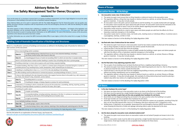

## **Advisory Notes for Fire Safety Management Tool for Owner/Occupiers**

#### **Instructions For Use**

If you are the owner of, or a business or person that is occupying a building in Queensland, you have a legal obligation to ensure the safety of any person in that building in the event of a fire or hazardous material emergency.

These Advisory Notes are to be used in conjunction with the 'Fire Safety Management Tool for Owner/Occupiers' and are guides only. Neither document indicates compliance with all requirements of the *Fire and Emergency Services Act 1990* and the *Building Fire Safety Regulation 2008*.

Text which appears in italics indicates that a definition is available in the relevant Act or Regulation. Full details of the legislation and document templates can be accessed through the QFES website at [www.qfes.qld.gov.au/buildingsafety](https://www.qfes.qld.gov.au/buildingsafety/Pages/default.aspx). QR codes have been used within the document to assist in locating relevant information on the QFES website. For users of the electronic version of this document, hyperlinks to the relevant documents have been created.

For further information you can contact the QFES Community Safety Office in your region, (a link to the contact list is on page 19 of these notes).

## **Building Code of Australia Classification of Buildings and Structures**

Below is a classification summary of buildings and structures as defined in the Building Code of Australia for reference in later sections of this document:

|                                                                                                                  | One or more buildings which constitute -                                                                                                                                                                                          |                                                                                                                                                                                 |  |  |  |
|------------------------------------------------------------------------------------------------------------------|-----------------------------------------------------------------------------------------------------------------------------------------------------------------------------------------------------------------------------------|---------------------------------------------------------------------------------------------------------------------------------------------------------------------------------|--|--|--|
| Class 1                                                                                                          | Class 1a                                                                                                                                                                                                                          | a single dwelling being a detached house or one or more attached dwellings, including a<br>row house, terrace house, town house or villa unit,                                  |  |  |  |
|                                                                                                                  | Class 1b                                                                                                                                                                                                                          | a boarding/guest house or hostel not exceeding 300m <sup>2</sup> in which not more than 12 people reside,                                                                       |  |  |  |
|                                                                                                                  | which is not located above or below another dwelling or another Class of building other than a private garage.                                                                                                                    |                                                                                                                                                                                 |  |  |  |
| Class <sub>2</sub>                                                                                               | A building containing 2 or more sole occupancy units each being a separate dwelling.                                                                                                                                              |                                                                                                                                                                                 |  |  |  |
| Class 3                                                                                                          | A resident building, other than a Class 1 or 2, which is a common place of long term or transient living for a number of<br>unrelated persons (e.g. boarding house, hostel, backpackers, hotel, residential part of school etc.). |                                                                                                                                                                                 |  |  |  |
| Class 4                                                                                                          | A dwelling in a building that is Class 5, 6, 7, 8 or 9 if it is the only dwelling in the building.                                                                                                                                |                                                                                                                                                                                 |  |  |  |
| Class 5                                                                                                          | An office building used for professional or commercial purposes, excluding buildings of Class 6, 7, 8 or 9.                                                                                                                       |                                                                                                                                                                                 |  |  |  |
| Class 6                                                                                                          | A shop or other building for the sale of goods by retail or the supply of services direct to the public (e.g. café, restaurant,<br>bar, kiosk, hair dresser's shop, showroom, service station).                                   |                                                                                                                                                                                 |  |  |  |
| Class <sub>7</sub>                                                                                               | Class 7a                                                                                                                                                                                                                          | A building which is a car park                                                                                                                                                  |  |  |  |
|                                                                                                                  | Class 7b                                                                                                                                                                                                                          | A building for storage, or display of goods or produce for sale by wholesale.                                                                                                   |  |  |  |
| Class <sub>8</sub>                                                                                               | A laboratory, or a building in which a handicraft or process for the production, assembling, altering, repairing, packing,<br>finishing, or cleaning of goods or produce is carried on for trade, sale or gain.                   |                                                                                                                                                                                 |  |  |  |
|                                                                                                                  | A building of a public nature -                                                                                                                                                                                                   |                                                                                                                                                                                 |  |  |  |
|                                                                                                                  | Class 9a                                                                                                                                                                                                                          | a health care building.                                                                                                                                                         |  |  |  |
| Class 9                                                                                                          | Class 9b                                                                                                                                                                                                                          | an assembly building, including workshop, laboratory or the like, in a primary or secondary school, but<br>excluding any other parts of the building that are of another class. |  |  |  |
|                                                                                                                  | Class 9c                                                                                                                                                                                                                          | an aged care building.                                                                                                                                                          |  |  |  |
|                                                                                                                  | A non habitable building or structure -                                                                                                                                                                                           |                                                                                                                                                                                 |  |  |  |
| Class 10                                                                                                         | Class 10a                                                                                                                                                                                                                         | a private garage, carport, shed or the like.                                                                                                                                    |  |  |  |
|                                                                                                                  | Class 10b                                                                                                                                                                                                                         | a structure being a fence, mast, antenna, retaining or free standing wall, swimming pool or the like.                                                                           |  |  |  |
| Class 1a and Class 10 buildings are not subject to the requirements of the Building Fire Safety Regulation 2008. |                                                                                                                                                                                                                                   |                                                                                                                                                                                 |  |  |  |

See the link below for an explanation of terrace house, row houses etc. [www.qfes.qld.gov.au/buildingsafety/documents/QFES-BFS-InfoSheet-TownRowVilla.pdf](https://www.qfes.qld.gov.au/buildingsafety/documents/QFES-BFS-InfoSheet-TownRowVilla.pdf)



## **Means of Escape**

#### **Evacuation Routes - All Buildings**

#### **1. Are evacuation routes clear of obstructions?**

• The regulation defines a *thing* that may impede or *obstruct* travel as a *vehicle*, an animal, fixtures or fittings,

• An *evacuation route* is the path a person would take to exit the building. It is usually marked with exit signage. An *evacuation route* includes the space above the path of travel. An *evacuation route* must be indicated on the

- The *owner/occupier* must ensure that no *thing* impedes or *obstructs* travel on the *evacuation route*.
- goods or materials. It may also include people.
- *evacuation diagram* (refer to items 9 and 44 for further details regarding *evacuation diagrams*).
- *Evacuation routes* must be a minimum of one metre wide.
- A *final exit* must lead directly to a road or open space and where people are safe from the effects of a fire or *hazardous materials emergency* in the building.
- a passageway, stairway, corridor or mall.

• *Evacuation routes* start in *common areas*, not inside units, meeting rooms or individual offices. A *common area* is

This item relates to Section 8 of the *Building Fire Safety Regulation 2008*.

#### **2. Are final exits clear of obstructions for two metres?**

• The *owner/occupier* must ensure a clear *evacuation route* for two metres outside the *final exit* of the building (i.e.

• A *final exit door* must lead directly to a *place of safety* outside the building or open space and where people are

- that no *thing* impedes or *obstructs* travel for two metres outside the *final exit*).
- A *final exit door* is the last exit door from the building.
- safe from the effects of fire or *hazardous materials emergency* in the building.
- The regulation defines a *thing* that may impede or *obstruct* travel as a *vehicle*, an animal, fixtures or fittings, goods or materials. It may also include people.

This item relates to Section 8 of the *Building Fire Safety Regulation 2008*.

#### **3. Are the final exits of any adjoining properties clear?**

• The *owner/occupier* must ensure that the *final exit*s of the adjoining property are clear (i.e. that no *thing* impedes

- The *occupier* of one building must not block the *final exit* from a neighbouring building or tenancy.
- or *obstructs* travel for two metres outside the *final exit*).
- A *final exit door* is the last exit door from the neighbouring building or tenancy and leads to a *place of safety* without any further impediments such as locked gates.
- The regulation defines a *thing* that may impede or *obstruct* travel as a *vehicle*, an animal, fixtures or fittings, goods or materials. It may also include people. (An example of a *thing* obstructing travel would be *placing* a rubbish skip within two metres of a neighbouring tenant's *final exit*).

This item relates to Section 9 of the *Building Fire Safety Regulation 2008*.

#### **Exit Doors**

#### **4. Is the door hardware the correct type?**

- Exit doors are doors that are in the *evacuation route* or are doors at the *final exit* of the building.
- Exit doors must be opened by a single handed downward or pushing action on a single device.
- **Lever type handles or panic bars are the only acceptable door hardware for exit doors.**
- Barrel bolts are not illegal providing they are locked in the open position when the building is occupied.
- Knob type handles are not acceptable door hardware for exit doors.
- they can be manually opened with a force of 110 Newtons (the force required to lift 11 kilograms) or less.
- arrow showing the direction of slide and signage indicating slide to open be attached to the door.

• Automatic opening doors that open on activation of the fire detection system are acceptable, providing if they fail • Sliding doors, if approved, are acceptable. Queensland Fire and Emergency Services (QFES) recommend that an

This item relates to Sections 10 and 11 of the *Building Fire Safety Regulation 2008*.

#### **5. Are the doors along the evacuation route unlocked/unobstructed?**

- The *owner/occupier* must ensure doors on *evacuation routes* are not locked if people are known to be in the building.
- Doors on *evacuation routes* must be able to be opened by a single handed downward or pushing action on a single device. Knob type handles are not acceptable door hardware for these doors.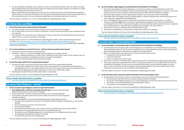- The door hardware of buildings used as detention centres, mental health facilities, child care centres (including Prep and After-School Care where full-time adults are present) and secure parts of banks, are required to comply with the Building Code of Australia, Part D2.21.
- Where special door *locking* arrangements are in place the method of operation and the information provided to staff/*occupants* is required to be retained in the *evacuation coordination procedures*, which must be kept with the *fire and evacuation plan*. (For more information regarding *fire and evacuation plans* refer to item 44).

This item relates to Sections 10, 11 and 12 of the *Building Fire Safety Regulation 2008*.

#### **Fire/Smoke Doors and Walls**

#### **6. Are the fire/smoke doors unobstructed and undamaged?**

- The *owner/occupier* must ensure that fire/smoke doors are not *obstructed* nor damaged.
- Fire or smoke doors are not to be 'chocked' or held open. Fire doors must automatically close and fully latch after each opening.
- An exception to this is when the door is held open by a device connected to the buildings fire alarm system that allows the door to close on activation of a fire alarm.

This item relates to Section 13 of the *Building Fire Safety Regulation 2008*. See the Queensland Development Code MP 6.1 at [www.hpw.qld.gov.au/construction/BuildingPlumbing/Building/BuildingLawsCodes/](http://www.hpw.qld.gov.au/construction/BuildingPlumbing/Building/BuildingLawsCodes/QueenslandDevelopmentCode/Pages/QueenslandDevelopmentCodeCurrentParts.aspx) [QueenslandDevelopmentCode/Pages/QueenslandDevelopmentCodeCurrentParts.aspx](http://www.hpw.qld.gov.au/construction/BuildingPlumbing/Building/BuildingLawsCodes/QueenslandDevelopmentCode/Pages/QueenslandDevelopmentCodeCurrentParts.aspx) for further details regarding maintenance requirements.

- **Every building with a total floor area greater than 300 sqm** must have *evacuation signs/ diagrams* (except Class 1a and Class 10 buildings).
- An *evacuation sign* comprises evacuation procedures and an *evacuation diagram*.
- An evacuation procedure outlines the process to follow in the event of a fire or *hazardous materials emergency*.
- An *evacuation diagram* must show the following details (*fire safety reference points*):
	- The place that corresponds to the place in the building where the diagram is displayed (e.g. 'You are here' signage).
	- The route from (you are here) to the nearest exit.
	- Each exit of the building.
	- Any *intercommunication devices* in the *common areas* (e.g. Warden Intercommunication Points).
	- The locations of *manually operated fire alarms* (e.g. break glass alarms).
	- The location of any fire fighting equipment in the building e.g. fire extinguishers and hose reels.
	- The *designated assembly area* outside the building.
	- The route from each exit to the assembly area.

#### **7. Can current maintenance records for fire doors / solid core doors be produced upon request?**

- A log book is required to record current inspections.
- Fire doors in Class 5, 6, 9a and 9c buildings must be inspected at 6 monthly intervals.
	- A Class 5 building is defined as an office; Class 6 buildings include shops, hotels, service stations; Class 9a buildings are health care buildings and Class 9c are aged care buildings.
- Fire doors in all other buildings must be inspected annually.

#### **8. Are the fire/smoke walls free from unprotected penetration?**

- The *owner/occupier* must ensure that fire/smoke walls are free from unprotected penetration.
	- If, for example, tradespersons or other persons have to penetrate fire or smoke walls to fit equipment, air conditioning ducts etc. or run cabling, the person as well as the *occupier* must ensure these penetrations are filled with the appropriate fire rated compound, or in the case of smoke walls, sealed.
- Building plans should indicate whether walls are fire or smoke walls.

This item relates to Section 13 of the *Building Fire Safety Regulation 2008*.

#### **Links to relevant information sheets or templates:**

• [www.qfes.qld.gov.au/buildingsafety/documents/QFES-BFS-InfoSheet-FireDoors.pdf](https://www.qfes.qld.gov.au/buildingsafety/documents/QFES-BFS-InfoSheet-FireDoors.pdf)

#### **Evacuation Signs/Diagrams – General**



- *Accommodation unit evacuation signs* in *accommodation units* must show the following information:
	- Each *evacuation route* from the unit to a *place of safety* outside the building.
- 
- The location of *manually operated fire alarms* (break glass alarms).
- The procedure for evacuating the building.

This item relates to Sections 18, 29 and 30 of the *Building Fire Safety Regulation 2008*.

#### **10. Are the evacuation signs/diagrams securely fastened and orientated for the building?**

*internal side* of a door and orientated in line with the building layout. Sticky tape, blue tac or velcro is not securely

- *Evacuation signs/diagrams* must be displayed in a conspicuous position, securely attached to a wall or the fastened, however screws or sufficient double sided tape providing sufficient strength is acceptable.
- *Evacuation signs/diagrams* must be appropriately located on each *evacuation route* of the building.
- 'Orientated' means the diagram must be understandable to a person reading the sign and the instructions must be accurate and correspond to the building layout.
- Class 2 buildings with direct exits to a road or open space that do not have *common areas* (i.e. corridors, stairways or hallways) **must** have the *evacuation signs/diagrams* displayed in line with the requirements for tenancy agreements). For more information regarding *accommodation units* refer to item 11.
- Some Class 2 and Class 3 buildings may require both types of signs.

*accommodation units*. (This includes *owner/occupied* units and residencies with long term tenancies or registered

• See Item 58 for explanation on instruction to residents and visitors to the building.

#### This item relates to Sections 18, 29 and 30 of the *Building Fire Safety Regulation 2008*.

#### **Links to relevant information sheets or templates:**

• [www.qfes.qld.gov.au/buildingsafety/documents/QFES\\_EvacSign\\_A4Landscape.doc](https://www.qfes.qld.gov.au/buildingsafety/documents/QFES_EvacSign_A4Landscape.doc)

## **Evacuation Signs - Accommodation Units**

#### **11. Are accommodation unit evacuation signs securely fastened and orientated for the building?**

• *Accommodation unit evacuation signs* must be displayed in *accommodation units*. (Residential units, other than those mentioned in item 10, that are *owner* occupied or have a tenancy agreement/lease in place and registered

- with the Residential Tenancy Authority are exempt from this requirement).
- Types of *accommodation units* required to have these *evacuation signs* include:
	- An apartment used by holiday makers.
	- A serviced apartment.
	- A room in a guest house, hotel, motel.
- 
- orientated to the building. The sign must be securely attached without compromising the integrity of any fire instructions must be accurate and correspond to the building layout.

• Some Class 2 and Class 3 buildings will be required to have both accommodation and general *evacuation signs*. • These signs must be securely attached to a wall in a conspicuous position or on the inside of the front door and doors or walls. 'Orientated' means the diagram must be understandable to a person reading the sign and the

This item relates to Sections 47 and 48 of the *Building Fire Safety Regulation 2008*.

#### **12. Do the evacuation signs contain the required information for the accommodation units?**

The location of fire fighting equipment such as fire extinguishers and fire hose reels in the vicinity of the unit.

This item relates to Sections 47 and 48 of the *Building Fire Safety Regulation 2008*.

#### **Links to relevant information sheets or templates:**

• [www.qfes.qld.gov.au/buildingsafety/documents/QFES\\_EvacSignAccomUnit\\_A4Portrait.doc](https://www.qfes.qld.gov.au/buildingsafety/documents/QFES_EvacSignAccomUnit_A4Portrait.doc)

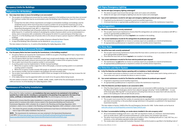## **Occupancy Limits for Buildings**

#### **Obligations for All Buildings**

- **13. Have steps been taken to ensure the building is not overcrowded?**
	- The *occupier* of a building must ensure that the number of persons in the building at any one time does not exceed the maximum number that may be accommodated under the Building Code of Australia, Clause D1.6 and Clause D1.13.
		- Exempt from the latter of these requirements are *budget accommodation buildings* and buildings used for *residential services* which must ensure that *occupancy numbers* do not exceed the maximums set out by *Building Act 1975* in conjunction with the Queensland Development Code, Mandatory Part (MP) 2.1 and the Queensland Development Code, MP 5.7, respectively.
	- Clause D1.6 of the Building Code of Australia outlines the required dimensions of exits and paths of travel to exits while Clause D1.13 outlines the method of calculating the number of persons which can be accommodated in a storey, room or mezzanine with consideration of the purpose for which it is used and layout of the floor area.
	- Clause D1.13 of the Building Code of Australia refers to the amount of space a person requires in different types of buildings.
	- A *building certifier* may give advice on the number of persons allowed by these Clauses.
	- A copy of the Building Code of Australia can be obtained at:<www.abcb.gov.au>

This item relates to Sections 14, 15 and16 of the *Building Fire Safety Regulation 2008*.

#### **Obligations for At-Risk Licensed Buildings**

#### **14. If an Occupancy Notice has been issued by the Commissioner, is the building compliant?**

- *Occupancy Notices* are issued by the Commissioner of QFES to *occupiers* of buildings which have a liquor licence and may be deemed at *risk of overcrowding*.
- If an *Occupancy Notice* has been issued the *occupier* must conspicuously display a sign stating the *occupancy number* above each public entrance and ensure each staff member is aware of the *occupancy number*.
- The *occupier* must ensure the *occupancy number* is not exceeded.
- A *counting system* must be implemented in 'At-Risk' *licensed buildings*:
	- Where the *occupancy number* ranges from 200 to 999 people, a *manual counting system* or an *automatic counting system* is required.
- Where the *occupancy number* exceeds 999 people an *automatic counting system* is required.
- The *occupancy number* must be included in the building's *fire and evacuation plan*.
- The *occupier* must notify the Commissioner of QFES if there are changes to the building that may increase the *risk of overcrowding*.
- A *Fire Safety Adviser* must be appointed within one month of an *Occupancy Notice* being issued.

This item relates to Sections 104KK, 104KL, 104KM, 104KN, 104KO, 104KP of the *Fire and Emergency Services Act 1990* and Section 34 of the *Building Fire Safety Regulation 2008*.

## **Maintenance of Fire Safety Installations**

*Prescribed Fire Safety Installations* **are installations that were required to be maintained in the building in question by or under any Act, including as a prerequisite to the granting of any approval or the issue of any notice, certificate or instrument (Section 104D 3(a) of the** *Fire and Emergency Services Act 1990***).**

Maintenance of *prescribed fire safety installations* is required to be conducted by an *appropriately qualified person* which is someone who holds a licence stated in the *Queensland Building and Construction Commission Regulation 2003*, schedule 2A; or stated in the *Plumbing and Drainage Regulation 2003*, schedule 2, items 4 to 6; or stated in the *Plumbing and Drainage Regulation 2003*, schedule 3, items 4 and 5.

• This means the person actually conducting the maintenance must have an individual licence for each class or type of *fire safety installation* they work on.

**NOTE**: - The requirements for maintenance are now contained in the Queensland Development Code MP6.1 at [www.hpw.qld.gov.au/construction/BuildingPlumbing/Building/BuildingLawsCodes/](https://www.business.qld.gov.au/industries/building-property-development/building-construction/laws-codes-standards/queensland-development-code) [QueenslandDevelopmentCode/Pages/QueenslandDevelopmentCodeCurrentParts.aspx](https://www.business.qld.gov.au/industries/building-property-development/building-construction/laws-codes-standards/queensland-development-code).

#### **Exit Signs/Emergency Lighting**

#### **15. Are the exit signs/emergency lighting undamaged?**

- The *owner/occupier* must ensure that exit sign covers are in place and unbroken.
- Globes for exit signs and emergency lighting must also be in place and undamaged.

#### **16. Can current maintenance records for exit signs and emergency lighting be produced upon request?**

- A log book (can be electronic) is required to record six monthly inspections.
- A licensed electrician or *appropriately qualified person* is required to conduct the maintenance inspections.

## **Fire Extinguishers**

#### **17. Are all fire extinguishers correctly maintained?**

- The *occupier* must ensure maintenance of prescribed fire extinguishers are carried out in accordance with MP 6.1 and by an *appropriately qualified person*.
- Prescribed fire extinguishers are those **required** to be installed in the building.

#### **18. Can current maintenance records for fire extinguishers be produced upon request?**

- The maintenance tag **and** either an invoice or summary report are acceptable as a *record of maintenance*.
- An *appropriately qualified person* is required to conduct six monthly service inspections.

#### **Fire Hose Reels**

#### **19. Are all fire hose reels correctly maintained?**

• The *occupier* must ensure maintenance of prescribed fire hose reels is carried out in accordance with MP 6.1 and

- by an *appropriately qualified person*.
- Prescribed fire hose reels are those **required** to be installed in the building.

#### **20. Can current maintenance records for fire hose reels be produced upon request?**

- The maintenance tag **and** either an invoice or summary report are acceptable as a *record of maintenance*.
- An *appropriately qualified person* is required to conduct six monthly service inspections.

## **Fire Detection and Alarm System**

#### **21. Is the Fire Detection and Alarm System operating with no isolations or faults indicating?**

• The *occupier* must ensure no devices or zones are isolated or showing a fault unless work is being carried out in those areas and a plan to reinstate the device or zone is in place.

#### **22. Can current maintenance records for Fire Detection and Alarm Systems be produced upon request?**

- A log book is required to record monthly inspections.
- An *appropriately qualified person* is required to conduct the maintenance inspections.

#### **23. If the Fire Detection and Alarm System is not connected to QFES.**

• If the Fire Alarm System is only a local alarm system and is not connected to QFES monitoring, it is recommended that Manual Call Points (break glass alarms) have adjacent signage indicating " LOCAL ALARM ONLY — In case of fire break glass AND ring 000" to ensure persons activating these devices are aware that it will only raise the

alarm in the building but it will not alert the *fire service*.

#### **24. Is the number of unwanted alarms activations below the prescribed average?**

• The *occupier* must ensure that the number of *unwanted alarms* signalled from a *monitored system* in any financial year does not exceed four or the prescribed average (whichever is the greater) as published in the Queensland

Government Gazette.

This item relates to Section 104DA of the *Fire and Emergency Services Act 1990*. Further details can be found at [www.qfes.qld.gov.au/buildingsafety/unwanted/Pages/default.aspx](https://www.qfes.qld.gov.au/buildingsafety/unwanted/Pages/default.aspx).

#### **25. If a Class 2 accommodation building, are smoke alarms installed in the sole occupancy units?**

- All accommodation buildings built since 1 July 1997 are required to install, as a minimum, hard-wired battery back-up smoke alarms. QFES recommend photoelectric smoke alarms over ionisation type alarms.
- The *owner* must ensure that each *sole occupancy unit* within a *Class 2 building* built prior to 1 July 1997 has, as a minimum; a nine volt battery operated smoke alarm installed.
- The smoke alarm must comply with Australian Standard 3786 and be located as specified in the Building Code of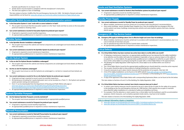Australia specification E2.2a Clause 3 (c) (i).

- Smoke alarms must be tested in compliance with the *manufacturer's instructions*.
- This item also applies to Class 1A dwellings.

This item relates to Section 104RB of the *Fire and Emergency Services Act 1990*. Full details of *tenant* and *owner* responsibilities can be found at: [www.qfes.qld.gov.au/community-safety/smokealarms/Pages/default.aspx](https://www.qfes.qld.gov.au/community-safety/smokealarms/Pages/default.aspx).

#### **Evacuation System (includes warning, control and intercommunication systems)**

#### **26. Is the Evacuation System in 'auto' mode with no zones isolated or in fault?**

• The *occupier* must ensure that the evacuation system is in the 'Auto' mode and that no zones on the evacuation panel are isolated or showing a fault.

#### **27. Can current maintenance records for Evacuation System be produced upon request?**

- A log book is required to record monthly inspections.
- An *appropriately qualified person* is required to conduct the maintenance inspections.

#### **Sprinkler System**

#### **28. Is the Sprinkler Booster Installation undamaged?**

• The *occupier* must ensure the cabinet and internal components are undamaged and hand wheels are fitted to inlets and outlets.

#### **29. Can current maintenance records for the Sprinkler System be produced upon request?**

- A log book is required to record maintenance inspections.
- An *appropriately qualified person* is required to conduct maintenance inspections.

#### **On-site Hydrant System**

#### **30. Is the on-site Fire Hydrant Booster Installation undamaged?**

• The *occupier* must ensure the cabinet and internal components are undamaged and hand wheels are fitted to inlets and outlets.

#### **31. Are the on-site Fire Hydrants undamaged?**

• The *occupier* must ensure on-site fire hydrants are undamaged i.e. not bent or creased and hand wheels are fitted.

#### **32. Can current maintenance records for the on-site Hydrant System be produced upon request?**

- A log book and tag is required to record current six monthly inspections.
- All maintenance including the 5 yearly hydrostatic test is to be recorded on a 'Form 72 fire hydrant and sprinkler system periodic testing and maintenance'.
- Form 72 can be downloaded from the Department of Housing and Public Works web page at [www.hpw.qld.gov.au/construction/BuildingPlumbing/Building/BuildingLawsCodes/](http://www.hpw.qld.gov.au/construction/BuildingPlumbing/Building/BuildingLawsCodes/QueenslandDevelopmentCode/Pages/QueenslandDevelopmentCodeCurrentParts.aspx) [QueenslandDevelopmentCode/Pages/QueenslandDevelopmentCodeCurrentParts.aspx](http://www.hpw.qld.gov.au/construction/BuildingPlumbing/Building/BuildingLawsCodes/QueenslandDevelopmentCode/Pages/QueenslandDevelopmentCodeCurrentParts.aspx).
- An *appropriately qualified person* is required to conduct maintenance inspections.

#### **Hydrant/Sprinkler Pumpsets**

#### **33. Are the Hydrant/Sprinkler Pumpsets correctly maintained?**

• The *occupier* must ensure pumpsets are maintained by an *appropriately qualified person*.

#### **34. Can current maintenance records for Pumpsets be produced upon request?**

- A log book is required to record monthly inspections.
- An *appropriately qualified person* is required to conduct maintenance inspections.

#### **Stairwell Pressurisation**

#### **35. Can current maintenance records for Stairwell Pressurisation be produced upon request?**

- A log book is required to record three monthly inspections.
- An *appropriately qualified person* is required to conduct maintenance inspections.

#### **Smoke and Heat Ventilation Systems**

#### **36. Can current maintenance records for Smoke & Heat Ventilation systems be produced upon request?**

- A log book is required to record six monthly inspections.
- An *appropriately qualified person* is required to conduct maintenance inspections.

#### **Standby Power Supply**

#### **37. Can current maintenance records for Standby Power be produced upon request?**

• Where installed, maintenance must be carried out in accordance with manufacturer's recommendations. service patient care areas, buildings containing some atriums and some hydrant systems that have a backup

• Only certain buildings require Standby Power Supplies (e.g. Class 9a building that has emergency lifts that electric pump).

#### **Emergency Lift – Fire Service Control**

#### **38. Emergency lifts apply to buildings above 25m in effective height and some Class 9a buildings.**

• Where installed, maintenance must be carried out in accordance with manufacturer's recommendations, but in no

- case at intervals of more than one year.
- Has an operational test of the Fire Service Controls been conducted.
- An *appropriately qualified person* is required to conduct maintenance inspections.

#### **Critical Defects**

#### **39. If a Critical Defect Notice has been received, has action been taken to rectify within one month?**

to be defective and the defect will make the installation inoperable or have an adverse impact on the safety of occupants (i.e. a *critical defect*), the *appropriately qualified person* is obligated to notify the *occupier* within 24 hours of the *critical defect* occurring by issuing the *occupier* with a *Critical Defect Notice* in the approved form. • The *Building Fire Safety Regulation 2008* requires the *critical defect* to be rectified within one month of

- If, following a maintenance inspection, an *appropriately qualified person* has deemed the *fire safety installation*
- notification.
- 
- The *occupier* should be able to show evidence of taking/initiating this corrective action.
- It may be necessary to put in place interim measures for the protection of occupants. (See item 58)
- [qld.gov.au/browse/inforce](https://www.legislation.qld.gov.au/browse/inforce)).
- 

• The *Critical Defect Notice* issued by the *appropriately qualified person* should detail the corrective action required. • A list of *Fire Safety Installations* can be found on the QFES website ([www.qfes.qld.gov.au/buildingsafety/](https://www.qfes.qld.gov.au/buildingsafety/documents/QFES_FireSafetyInstallationChecklist.doc) [documents/QFES\\_FireSafetyInstallationChecklist.doc](https://www.qfes.qld.gov.au/buildingsafety/documents/QFES_FireSafetyInstallationChecklist.doc)) or in Schedule 2 of the *Building Act 1975* [\(www.legislation.](https://www.legislation.qld.gov.au/browse/inforce)

• A copy of the approved *Critical Defect Notice* with corresponding Explanatory Notes can be found at the link below.

This item relates to Sections 49 and 53 of the *Building Fire Safety Regulation 2008*.

#### **40. If a Critical Defect Notice has been received, have interim measures been put in place?**

- In certain cases interim measures may be required to be put in place by the *occupier* for the safety of occupants in the building as the *Fire and Emergency Services Act 1990* Section 104D requires the *occupier* to maintain *prescribed fire safety installations* to a standard of safety and reliability at all times.
- purposes, interim measures, such as battery operated smoke alarms, may have to be installed.

• For example, if the fire detection or alarm system has a *critical defect* and the building is used for accommodation

This item relates to Sections 49 of the *Building Fire Safety Regulation 2008*.

#### **Links to relevant information sheets or templates:**

- [www.qfes.qld.gov.au/buildingsafety/documents/QFES\\_FireSafetyInstallationChecklist.doc](https://www.qfes.qld.gov.au/buildingsafety/documents/QFES_FireSafetyInstallationChecklist.doc)
- [www.qfes.qld.gov.au/buildingsafety/documents/QFES\\_CriticalDefectNotice.doc](https://www.qfes.qld.gov.au/buildingsafety/documents/QFES_CriticalDefectNotice.doc)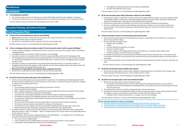#### **Miscellaneous**

#### **Housekeeping**

- **41. Is housekeeping acceptable?**
	- The *owner/occupier* must ensure there are no excessive *flammable materials* under buildings or stairways.
	- It must be ensured that there are no tripping hazards such as lifting tiles and power cords in *evacuation routes*.

This item relates to Section 69 of the *Fire and Emergency Services Act 1990*.

## **Evacuation Planning, Instruction & Practice**

#### **Fire and Evacuation Plans**

#### **42. Is there a fire and evacuation plan in place for each building?**

- **Every** building must have a written *fire and evacuation plan* in place (except Class 1a and Class 10 buildings).
- This may be a hard copy or in electronic format.
- See item 44 to understand the items required in the *fire and evacuation plan*.

This item relates to Section 21 of the *Building Fire Safety Regulation 2008*.

#### **43. Is there a managing entity and secondary occupiers' fire and evacuation plan for multi-occupancy buildings?**

- A *multi-occupancy building* is a building where there is more than one *tenant*, for example a high-rise building or a shopping centre.
- A *managing entity* is, for example, a Body Corporate or Centre Manager.
- *Secondary occupiers* are *occupiers* of part of a *multi-occupancy building*, other than the *managing entity*.
- The *managing entity* is responsible for evacuating people from the *common areas* of a *multi-occupancy building*, to a *designated assembly area* on the *fire and evacuation plan*. A *common area* is a passageway, foyer, stairway, corridor or mall.
- *Secondary occupiers* are responsible for evacuating people from their tenancy. For example a retailer in a shopping centre will evacuate shoppers to the mall area, and then the *managing entity's* plan will evacuate them out of the building to the *designated assembly area*.
- **Both parties are responsible for ensuring their plans complement the other.**
- See item 44 to understand the items required in the *fire and evacuation plan*.

This item relates to Sections 22 and 23 of the *Building Fire Safety Regulation 2008*.

#### **44. Are all the fire and evacuation plans kept in the specified form?**

- The *fire and evacuation plan* must incorporate all the requirements of the *Building Fire Safety Regulation 2008*. The plan must be in written form. This can be either as a hard copy or in electronic format as long as it is available on request in the building (see item 62).
- It must include:
	- The *evacuation diagram/sign* of the building (as mentioned in Item 9).
	- Name and address of the building.
	- Name, address, telephone number and electronic contact details of the *owner* and *occupier* of the building.
	- The *evacuation coordination procedures* for the building.
	- Instructions for evacuating the building in line with the *evacuation coordination procedures*.
	- The method of operation of fire fighting equipment and manual fire alarms in the building.
	- The procedures for giving *fire and evacuation instructions* to persons *working* in the building and ensuring the instructions are given.
	- The name and contact details of persons responsible for carrying out the evacuation procedures.
	- The date each person became responsible for carrying out the procedures.
	- The names and contact details for persons responsible for giving the *fire and evacuation instructions*.
	- Name of the person who developed, changed and reviewed the *fire and evacuation plan*.
- In instances where a number of persons fill a position across rotational shifts, QFES will accept a position title rather than person's name. For example – 'Nurse in Charge of Acute Care' may be listed as the *responsible person* for the Intensive Care area.
- If the building is a *high occupancy building* (requires a *Fire Safety Adviser* as detailed in Item 57) the *fire and evacuation plan* must incorporate additional requirements:
	- The name of the *Fire Safety Adviser*
	- Contact details for the *Fire Safety Adviser* (e.g. Phone number and electronic contact details).
	- A description of the qualification/s held by the *Fire Safety Adviser.*
- The *Registered Training Organisation* that issued the qualification.
- The date the qualification was issued.

This item relates to Section 21 of the *Building Fire Safety Regulation 2008*.

#### **45. Do fire and evacuation plans reflect performance solutions for the building?**

• A performance solution is that which has been assessed and agreed between parties such as fire engineers, QFES and *building certifiers*. It allows for an alternative building solution to be put in place meeting the performance,

- rather than the prescriptive, requirements of the Building Code of Australia.
- Performance solutions for your building can be found on your building's Certificate of Classification.
- If there is a performance solution for the building, the performance solution is to be included in the *fire and evacuation plan*. For example if a building has extended travel distances, the *fire and evacuation plan* must reference this.

This item relates to Section 24 of the *Building Fire Safety Regulation 2008*.

#### **46. Is there a procedure in place to evacuate persons with special needs?**

• If *persons with special needs* are in the building the *occupier* is responsible for ensuring there is a procedure in

- place to evacuate them safely.
- A *person with special needs* can be:
	- $\bullet$  A person with a disability.
	- $\bullet$  A child.
	- A person affected by medication or alcohol.
	- A person in lawful custody.
	- A person *working* in the building where access is restricted (e.g. a basement, false ceiling cavity).
	- A person *working* in a hazardous area of a building.
- evacuation.
- kept.

• An example of a procedure to evacuate *persons with special needs* may be to identify one or more persons who, on activation of the alarm, are to proceed to the area where the *persons with special needs* are and assist them in

• A record of this procedure must be retained with the *fire and evacuation plan* and other documents required to be

This item relates to Section 19 of the *Building Fire Safety Regulation 2008*.

#### **47. Are all fire and evacuation plans available upon request?**

• All *fire and evacuation plans* must be made available to *interested persons* for inspection, free of charge, upon request during normal business hours. This includes electronic copies.

This item relates to Section 26 of the *Building Fire Safety Regulation 2008*.

#### **48. Are all fire and evacuation plans current and reviewed annually?**

*evacuation routes* have not changed and checking that the same persons remain in the roles listed on the *fire* 

- All *fire and evacuation plans* must be reviewed annually. An example of reviewing the plan may be to walk through the building with the plan to ensure that the *and evacuation plan*.
- The review process must be recorded, and kept with other relevant documents.
- the changes as soon as practical but no later than one month after the change occurred. Examples of this include refurbishment or a change in the use of the building.

• If changes are made to the building which affects the *fire and evacuation plan*, the plan must be altered to reflect

This item relates to Sections 27 and 28 of the *Building Fire Safety Regulation 2008*.

#### **Links to relevant information sheets or templates:**

- [www.qfes.qld.gov.au/buildingsafety/documents/QFES-BFS-InfoSheet-Class2Unit.pdf](https://www.qfes.qld.gov.au/buildingsafety/documents/QFES-BFS-InfoSheet-Class2Unit.pdf)
- [www.qfes.qld.gov.au/buildingsafety/documents/QFES-FireEvacuationPlan-HighOccupancy.doc](https://www.qfes.qld.gov.au/buildingsafety/documents/QFES-FireEvacuationPlan-HighOccupancy.doc)
- [www.qfes.qld.gov.au/buildingsafety/documents/QFES-FireEvacuationPlan-LowOccupancy.doc](https://www.qfes.qld.gov.au/buildingsafety/documents/QFES-FireEvacuationPlan-LowOccupancy.doc)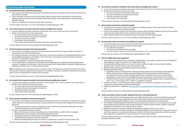#### **Fire and Evacuation Instruction**

#### **49. Have general evacuation instructions been given?**

- The *occupier* of the building must give *general evacuation instructions* to workers within two days of commencing work and then annually.
- These instructions include the location of *fire safety reference points* and the procedures for evacuating the building safely in the event of a fire or *hazardous materials emergency*. (*Fire safety reference points* are those detailed in item 9).
- There is no qualification required to provide these instructions.

This item relates to Sections 32 and 35 of the *Building Fire Safety Regulation 2008*.

#### **50. Are records for general evacuation instructions kept and available upon request?**

- A record of *general evacuation instructions* must be kept. This can be in electronic form. (See item 62)
- Details on the instruction records must include:
	- $\bullet$  The name of each person receiving the instruction.
	- The name of the person who gave the instruction.
	- The date instructions were given.
	- A description of the instructions.
	- These records must be retained with other documents required to be kept.

This item relates to Section 45 of the *Building Fire Safety Regulation 2008*.

#### **51. Have first-response evacuation instructions been given?**

- The *occupier* of the building must give *first-response evacuation instructions* to workers within one month of commencing work and then every two years.
- *First-response evacuation instructions* are instructions concerning the operation of *manually operated fire alarms* and fire fighting equipment in the building. These instructions can be given by practical hands on training or instruction via a CD, DVD or Internet etc..
- There is no qualification required to provide these instructions.
- If a *Fire Safety Adviser* is required for the building, the *Fire Safety Adviser* or a *Registered Training Organisation* must give or arrange for the training or instructions to be given (A *Fire Safety Adviser* is required in *high occupancy buildings* as defined in item 57 of these Advisory Notes).

**Note**: For buildings used for temporary events (3 months or less), *First-Response* and *General Evacuation Instructions* must be given to persons before they start *working* in the building. *Evacuation coordination instructions* must also be given to persons responsible for carrying out the evacuation.

This item relates to Sections 36 and 37 of the *Building Fire Safety Regulation 2008*.

#### **52. Are records for first-response evacuation instructions kept and available upon request?**

- A record of practice evacuations must be retained with the evacuation plan and can be in electronic form.
- Details required on the *evacuation practice record* include: • The date of the evacuation.
	- The times the evacuation started and ended.
	-

- A record of *first-response evacuation instructions* must be retained. This can be in electronic form. (See item 62)
- Details on the instruction records must include:
	- The name of each person receiving the instruction.
	- The name of the person who gave the instruction.
	- The date instructions were given.
	- A description of the instructions.

This item relates to Section 45 of the *Building Fire Safety Regulation 2008*.

#### **53. Have evacuation coordination instructions been given?**

- The occupier of a building must give *evacuation coordination instructions* to the person/s responsible for carrying out the *evacuation coordination procedures* every year and within one month of any changes to the procedures or personnel.
	- If a new occupant starts to occupy a building, the new occupant must, within two months, give *evacuation coordination instructions* to the *responsible person/s*.
- *Evacuation coordination procedures* include:
	- Means of alerting and communicating with persons in the building (e.g. public address messages).
	- Alerting the *fire service*, by phone or *manually operated fire alarms*.
	- Arranging the evacuation of all persons in the building including those with special needs.
	- Checking whether all persons have been evacuated.
	- Meeting and advising the *fire service* on arrival at a suitable place as stated on the evacuation plan.

This item relates to Sections 17, 38, 39 and 40 of the *Building Fire Safety Regulation 2008*.

#### **54. Are records for evacuation coordination instructions kept and available upon request?**

- A record of *evacuation coordination instructions* must be retained. This can be in electronic form. (See item 62)
- Details on the instruction records must include:
	- The name of each person receiving the instruction.
	- The name of the person who gave the instruction.
- The date instructions were given.
- A description of the instructions.

This item relates to Section 45 of the *Building Fire Safety Regulation 2008*.

#### **55. Has evacuation practice been conducted annually?**

• It may not be feasible to evacuate, for this exercise, a person with a disability, however the process for evacuation

- All *occupiers* are required to conduct an evacuation of a building annually. The practice evacuation must be carried out by an appropriate number of people.
- of *persons with special needs* must be included in the *fire and evacuation plan*.
- Select numbers of staff such as receptionists may be excluded to answer telephone calls.

This item relates to Sections 43 and 44 of the *Building Fire Safety Regulation 2008*.

#### **56. Are evacuation practice records kept and available upon request?**

 Any action taken or required as a result of the evacuation, such as a review of the evacuation instructions. This item relates to Section 46 of the *Building Fire Safety Regulation 2008*.

#### **57. Has a Fire Safety Adviser been appointed?**

• The *occupier* of any building that is a workplace employing 30 or more people as defined under the *Building Fire* 

 A building or part of a building where individual employers employ 30 or more workers at the workplace. consultation with *tenants* and the *managing entity* if there are *common areas*, such as malls common passageways or stairs even if the *managing entity* does not employ 30 or more workers in the building. Individual *tenants* may wish to appoint their own FSA or utilise the FSA appointed by the *managing entity*, if

- *Safety Regulation 2008* must appoint a *Fire Safety Adviser* (FSA).
- Accommodation buildings (Class 2 and 3) over 25 metres in effective height and some *licensed building* regardless of the number of workers must also appoint an FSA.
- Effective height is defined by the Building Code of Australia (BCA).
- Workplace examples include:
	- QFES recommend that in multiple tenanted buildings a FSA be appointed for the whole building in
	- there is one, and they agree to do so. Either is acceptable to the QFES.
- The FSA must hold a *current building fire safety qualification* as a FSA (have completed a course in the 8 competencies required within the previous three years).
- [pdf.](https://www.qfes.qld.gov.au/buildingsafety/documents/QFES-BFS-InfoSheet-FSA.pdf)

• Additional information is available at [www.qfes.qld.gov.au/buildingsafety/documents/QFES-BFS-InfoSheet-FSA.](https://www.qfes.qld.gov.au/buildingsafety/documents/QFES-BFS-InfoSheet-FSA.pdf)

This item relates to section 34 of the *Building Fire Safety Regulation 2008*.

#### **58. Is there a procedure in place to provide 'adequate instruction' to prescribed persons?**

the past three months, there have been at least two weeks in which the person worked, resided or visited the

- Section 104E of the *Fire and Emergency Services Act 1990* requires that the *occupier* of a building must provide adequate instructions to *prescribed persons* in the building concerning the action to be taken by them in the event of fire threatening the building in order to ensure the safety of themselves and other persons.
- The *Building Fire Safety Regulation 2008* states that at any given time a person is a *prescribed person* if ,during building for a total period in each week of at least 10 hours.
- Adequate instruction for persons *working* in the building are detailed in items 49, 51 and 53.
- *signs/diagrams* are displayed in accordance with item 9 of these Advisory Notes.

• Adequate instruction for residents and persons visiting the building may be provided by ensuring references that assist these people in evacuating the building are included in the *fire and evacuation plan* and that *evacuation* 

This item relates to Section 31 of the *Building Fire Safety Regulation 2008* and Section 104E of the *Fire and Emergency Services Act 1990*.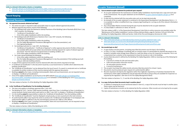#### **Links to relevant information sheets or templates:**

- [www.qfes.qld.gov.au/buildingsafety/documents/QFES\\_FireEvacuationInstructionRecord.doc](https://www.qfes.qld.gov.au/buildingsafety/documents/QFES_FireEvacuationInstructionRecord.doc)
- [www.qfes.qld.gov.au/buildingsafety/documents/QFES\\_FireEvacuationPracticeRecord.doc](https://www.qfes.qld.gov.au/buildingsafety/documents/QFES_FireEvacuationPracticeRecord.doc)

#### **Record Keeping**

#### **Approval Documents**

#### **59. Are approval documents obtained and kept?**

- The *owner/occupier* is required to take reasonable steps to acquire *relevant approval documents*.
- *Relevant approval documents* consist of the following:-
	- For buildings built under the Deemed to Satisfy Provisions of the Building Code of Australia (BCA) from 1 July 1997 onwards, the following:
		- à '*Certificate of Classification'*, and
	- à A list of *fire safety installations* within the building.
	- For buildings built with Performance Solutions from 1 July 1997 onwards, the following:
		- à *'Certificate of Classification'*,
		- à A list of *fire safety installations* within the building,
		- à The *Fire Safety Management Procedures* (Management in Use Documentation), and
		- **Example 25 Fire Engineering Report.**
	- For buildings built prior to 1 July 1997, the following:
		- à *'Certificate of Classification'*, 'Certificate of Approval' or other approval documents (if either of these are not available QFES will accept written documentation showing requests for copies of *relevant approval documents* from the relevant local government or *building certifier*), and
		- à A list of *fire safety installations* within the building.
	- For Crown owned buildings the following:
		- à A list of *fire safety installations* within the building, and
		- à The *Fire Safety Management Procedures* (Management in Use Documentation) if the building was built using an alternate building solution.
- A copy of these approval documents must be retained with other documents required to be kept.
- A *'Certificate of Classification'* is the document issued by a Local Government or Certifier which determines the building classification.
- The *'Certificate of Classification'* can be obtained from the local Council. If a search is conducted and no Certificate is available the written evidence of this must be retained with the approval documents.
- Buildings **owned** by the Crown, including Commonwealth, State and Local Government, are not required to have or display a *'Certificate of Classification'*.
- A list of *Fire Safety Installations* can be found on the QFES website ([www.qfes.qld.gov.au/buildingsafety/](https://www.qfes.qld.gov.au/buildingsafety/documents/QFES_FireSafetyInstallationChecklist.doc) [documents/QFES\\_FireSafetyInstallationChecklist.doc](https://www.qfes.qld.gov.au/buildingsafety/documents/QFES_FireSafetyInstallationChecklist.doc)) or in Schedule 2 of the *Building Act 1975* ([www.legislation.](https://www.legislation.qld.gov.au/browse/inforce) [qld.gov.au/browse/inforce\)](https://www.legislation.qld.gov.au/browse/inforce).

This item relates to Section 25 of the *Building Fire Safety Regulation 2008*.

#### **60. Is the 'Certificate of Classification' for the building displayed?**

- This item only applies to buildings approved after 1 July 1997.
- The *Building Act 1975* Section 108A requires buildings, apart from Class 1a buildings (a Class 1a building is a normal domestic family home) which were built on or after 1 July 1997, to display a *'Certificate of Classification'*.
- It is the building **owner's** responsibility to obtain the *'Certificate of Classification'* from the *building certifier*.
- The *'Certificate of Classification'* must be displayed conspicuously, as near as practical to the main entrance.
- An *authorised fire officer* may require the *owner* to produce the *'Certificate of Classification'* if not displayed. (An *authorised fire officer* is defined in the *Fire and Emergency Services Act 1990* as a fire officer).
- Buildings **owned** by the Crown, including Commonwealth, State and Local Government, are not required to have or display a *'Certificate of Classification'*.

This item relates to Section 108A of the *Building Act 1975*.

#### **Links to relevant information sheets or templates:**

• [www.qfes.qld.gov.au/buildingsafety/documents/QFES\\_FireSafetyInstallationChecklist.doc](https://www.qfes.qld.gov.au/buildingsafety/documents/QFES_FireSafetyInstallationChecklist.doc)

#### **Occupier Statement (Annual)**

#### **61. Can an annual occupier statement be produced upon request?**

• An *occupier statement* for the maintenance of all *fire safety installations* must be kept and a copy sent each year

- to the Commissioner. The *occupier statement* can be emailed to [occupier.statements@qfes.qld.gov.au](mailto:occupier.statements%40qfes.qld.gov.au?subject=Occupier%20Statement) once completed.
- A copy must be retained with the evacuation plan and can be kept electronically.
- is contained.
- Any *Critical Defect Notices* received during the year must be attached to the *occupier statement*.
- A *Critical Defect* is referred to in items 39 and 40.

• An example of the *occupier statement* is contained in the Queensland Development Code Mandatory Part 6.1. It is acceptable to utilise a modified form (e.g. company logo/heading etc.) as long as all of the relevant information

This item relates to MP 6.1 of the Queensland Development Code (links to online resources are provided under the 'Maintenance of Fire Safety Installations' section of these Advisory Notes, page 8), Sections 55A and 55B of the *Building Fire Safety Regulation 2008* and Section 104D of the *Fire and Emergency Services Act 1990*.

#### **Links to relevant information:**

- <http://www.hpw.qld.gov.au/SiteCollectionDocuments/occupiers-statement-mp6-1.doc>
- [www.hpw.qld.gov.au/construction/BuildingPlumbing/Building/BuildingLawsCodes/](http://www.hpw.qld.gov.au/construction/BuildingPlumbing/Building/BuildingLawsCodes/QueenslandDevelopmentCode/Pages/QueenslandDevelopmentCodeCurrentParts.aspx)
- [QueenslandDevelopmentCode/Pages/QueenslandDevelopmentCodeCurrentParts.aspx](http://www.hpw.qld.gov.au/construction/BuildingPlumbing/Building/BuildingLawsCodes/QueenslandDevelopmentCode/Pages/QueenslandDevelopmentCodeCurrentParts.aspx)**Record Security**

#### **62. Are records kept on site?**

located in lockable metal storage boxes affixed to a wall that allows access for inspection as required. This is not

• A *prescribed document* is defined by the *Building Fire Safety Regulation 2008* as meaning any of the following for

- A copy of plans and documents, including *prescribed documents* must be kept in the building.
- In Class 2 or Class 3 buildings or buildings with no *common areas* it is permissible for required documents to be a requirement but a solution to the requirement to have the records on site in the building.
- the building –
- A record of a review of a *fire and evacuation plan*;
- A *fire and evacuation instruction record*;
- An *evacuation practice record*;
- A *record of maintenance*.
- The *occupier* must keep fire safety records and *prescribed documents* for at least 2 years.
- Documents must be produced upon request of a *authorised fire officer*.
- required by the regulation. (See item 65 for *Fire Safety Management Plans*)

• Records required to be kept by the regulation (other than logbooks required by an Australian Standard for the maintenance of *fire safety installations*) may be kept electronically as long as they are available for inspection as

This item relates to Sections 71, 72 and 86 of the *Building Fire Safety Regulation 2008*.

#### **63. Is a copy of all prescribed documents kept in another place?**

• In addition to keeping the record mentioned above in item 62, a copy of all records must be kept in another place.

- These copies may be electronic.
- 

• Copies of maintenance records can be retained by the fire contractor. Other records are to be kept by the *occupier*. This item relates to Section 71 of the *Building Fire Safety Regulation 2008*.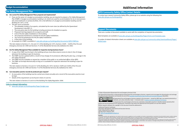#### **Fire Safety Management Plan**

#### **64. Are current Fire Safety Management Plans prepared and implemented?**

- If you are the *owner* of a *budget accommodation building*, you are required to prepare a *Fire Safety Management Plan* (FSMP). A *budget accommodation building* is (in short) one used for accommodation for six or more persons who share bathroom or sanitary facilities. (For a full definition of a *budget accommodation building* see the *Building Act 1975*, s216).
- The plan must incorporate:
- The allowable number of occupants, calculated by the room sizes (as defined by the Queensland Development Code MP2.1).
- The evacuation plan for the building including provisions for disabled occupants.
- Proposed training programs for occupants and staff.
- A list of the *fire safety installations* in the building.
- The proposed maintenance schedule for the *fire safety installations*.
- The *record of maintenance* for the *fire safety installations.*
- $\bullet$  A floor plan of the building.
- An example of a FSMP is available at [www.qfes.qld.gov.au/buildingsafety/documents/QFES-FSMP.doc](https://www.qfes.qld.gov.au/buildingsafety/documents/QFES-FSMP.doc)

This item relates to Sections 27, 216 and 217 of the *Building Act 1975*, Sections 104FA – 104FD of the *Fire and Emergency Services Act 1990* and Sections 75 of the *Residential Services (Accreditation) Act 2002*.

#### **65. Are Fire Safety Management Plans available for inspection during business hours?**

- A copy of the FSMP must be kept in the building and you must allow anyone access to view it, free of charge, whenever the building is open for business.
- The FSMP must be updated within a month of any change of circumstances affecting the plan (e.g. a change in the *Fire Safety Standard*).
- The FSMP must be available on request by a member of the public or an *authorised officer* of the QFES.
- The FSMP can be kept electronically as long as it is available for inspection whenever the building is open for business.

This item relates to Sections 216 and 217 of the *Building Act 1975*, Sections 104FA and 104FG of the *Fire and Emergency Services Act 1990* and Section 75 of the *Residential Services (Accreditation) Act 2002*.

#### **66. Can evacuation practice records be produced upon request?**

- An evacuation of the building must be carried out at least annually and a record of the evacuation practice must be kept.
- Details of this requirement can be found in items 55 and 56.

This item relates to Sections 43 and 44 of the *Building Fire Safety Regulation 2008*.

#### **Links to relevant information:**

• [www.qfes.qld.gov.au/buildingsafety/Pages/budget.aspx](https://www.qfes.qld.gov.au/buildingsafety/Pages/budget.aspx)

# **Additional Information**

#### **QFES Community Safety Office Contact Details**

To contact your nearest Community Safety Office, please go to our website using the following link: [www.qfes.qld.gov.au/buildingsafety/](https://www.qfes.qld.gov.au/buildingsafety/Pages/default.aspx)

#### **Support Documents**

There are a number of document available to assist with the completion of required documentation.

Word templates are available at [www.qfes.qld.gov.au/buildingsafety/Pages/Forms-and-Templates.aspx](https://www.qfes.qld.gov.au/buildingsafety/Pages/Forms-and-Templates.aspx).

A number of related information sheets are available at [www.qfes.qld.gov.au/community-safety/downloadlibrary/Pages/](https://www.qfes.qld.gov.au/community-safety/downloadlibrary/Pages/default.aspx) [default.aspx](https://www.qfes.qld.gov.au/community-safety/downloadlibrary/Pages/default.aspx).

© State of Queensland (Queensland Fire and Emergency Services) 2018 The Queensland Government, acting through the Queensland Fire and Emergency Services, supports and encourages the dissemination and exchange of publicly funded information and endorses the use of the [Australian Governments Open Access and Licensing Framework](http://www.ausgoal.gov.au/) (AusGOAL).



All Queensland Fire and Emergency Services material in this document – except the QFES logo, any material protected by a trademark, and unless otherwise noted – is licensed under a [Creative Commons Attribution 4.0 licence.](https://creativecommons.org/licenses/by/4.0/legalcode)

The Queensland Fire and Emergency Services has undertaken reasonable enquiries to identify material owned by third

parties and secure permission for its reproduction. Permission may need to be obtained from third parties to re-use their material. Written requests relating to the copyright in this document should be addressed to:

Intellectual Property Coordinator Information Management, Ministerial and Executive Services

Public Safety Business Agency GPO Box 9879, Brisbane 4001 EM: [QFES.IPCopyright@qfes.qld.gov.au](mailto:QFES.IPCopyright%40qfes.qld.gov.au?subject=FSMT%20Advisory%20Notes)

**Disclaimer**<br>To the extent possible under applicable law, the material in this document is supplied as-is and as-available, and makes no representations or warranties of any kind whether express, implied, statutory, or otherwise. This includes, without limitation, warranties of title, merchantability, fitness for a particular purpose, non-infringement, absence of latent or other defects, accuracy, or the presence or<br>absence of errors, To the extent possible under applicable law, neither the Queensland Government or the Queensland Fire and Emergency Services will be liable to you on any legal ground (including, without limitation, negligence) or otherwise for any direct, special, indirect, incidental, consequential, punitive, exemplary, or other losses, costs, expenses, or damages arising out of the use of the material in this<br>document. Where a limi